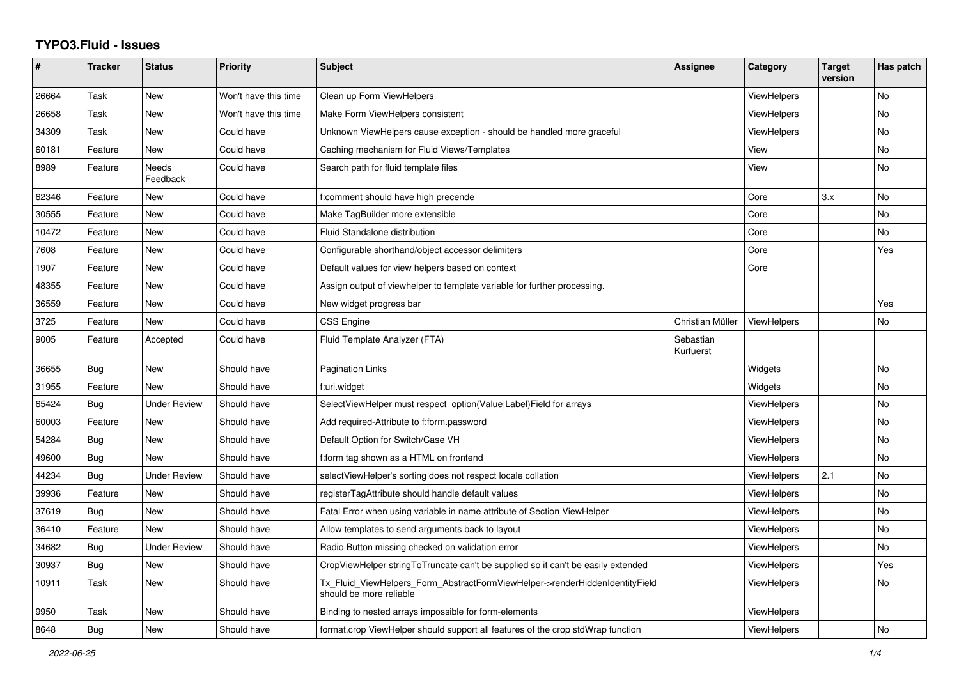## **TYPO3.Fluid - Issues**

| #     | <b>Tracker</b> | <b>Status</b>       | Priority             | <b>Subject</b>                                                                                         | Assignee               | Category           | <b>Target</b><br>version | Has patch |
|-------|----------------|---------------------|----------------------|--------------------------------------------------------------------------------------------------------|------------------------|--------------------|--------------------------|-----------|
| 26664 | Task           | New                 | Won't have this time | Clean up Form ViewHelpers                                                                              |                        | <b>ViewHelpers</b> |                          | No        |
| 26658 | Task           | New                 | Won't have this time | Make Form ViewHelpers consistent                                                                       |                        | <b>ViewHelpers</b> |                          | <b>No</b> |
| 34309 | Task           | New                 | Could have           | Unknown ViewHelpers cause exception - should be handled more graceful                                  |                        | ViewHelpers        |                          | <b>No</b> |
| 60181 | Feature        | <b>New</b>          | Could have           | Caching mechanism for Fluid Views/Templates                                                            |                        | View               |                          | <b>No</b> |
| 8989  | Feature        | Needs<br>Feedback   | Could have           | Search path for fluid template files                                                                   |                        | View               |                          | No        |
| 62346 | Feature        | New                 | Could have           | f:comment should have high precende                                                                    |                        | Core               | 3.x                      | No        |
| 30555 | Feature        | New                 | Could have           | Make TagBuilder more extensible                                                                        |                        | Core               |                          | No        |
| 10472 | Feature        | New                 | Could have           | Fluid Standalone distribution                                                                          |                        | Core               |                          | No        |
| 7608  | Feature        | New                 | Could have           | Configurable shorthand/object accessor delimiters                                                      |                        | Core               |                          | Yes       |
| 1907  | Feature        | New                 | Could have           | Default values for view helpers based on context                                                       |                        | Core               |                          |           |
| 48355 | Feature        | <b>New</b>          | Could have           | Assign output of viewhelper to template variable for further processing.                               |                        |                    |                          |           |
| 36559 | Feature        | New                 | Could have           | New widget progress bar                                                                                |                        |                    |                          | Yes       |
| 3725  | Feature        | New                 | Could have           | <b>CSS Engine</b>                                                                                      | Christian Müller       | ViewHelpers        |                          | No        |
| 9005  | Feature        | Accepted            | Could have           | Fluid Template Analyzer (FTA)                                                                          | Sebastian<br>Kurfuerst |                    |                          |           |
| 36655 | Bug            | New                 | Should have          | Pagination Links                                                                                       |                        | Widgets            |                          | No        |
| 31955 | Feature        | <b>New</b>          | Should have          | f:uri.widget                                                                                           |                        | Widgets            |                          | No        |
| 65424 | Bug            | <b>Under Review</b> | Should have          | SelectViewHelper must respect option(Value Label)Field for arrays                                      |                        | <b>ViewHelpers</b> |                          | <b>No</b> |
| 60003 | Feature        | New                 | Should have          | Add required-Attribute to f:form.password                                                              |                        | <b>ViewHelpers</b> |                          | No        |
| 54284 | Bug            | New                 | Should have          | Default Option for Switch/Case VH                                                                      |                        | <b>ViewHelpers</b> |                          | No        |
| 49600 | Bug            | New                 | Should have          | f:form tag shown as a HTML on frontend                                                                 |                        | <b>ViewHelpers</b> |                          | No        |
| 44234 | <b>Bug</b>     | <b>Under Review</b> | Should have          | selectViewHelper's sorting does not respect locale collation                                           |                        | ViewHelpers        | 2.1                      | <b>No</b> |
| 39936 | Feature        | <b>New</b>          | Should have          | registerTagAttribute should handle default values                                                      |                        | ViewHelpers        |                          | <b>No</b> |
| 37619 | Bug            | New                 | Should have          | Fatal Error when using variable in name attribute of Section ViewHelper                                |                        | <b>ViewHelpers</b> |                          | No        |
| 36410 | Feature        | <b>New</b>          | Should have          | Allow templates to send arguments back to layout                                                       |                        | <b>ViewHelpers</b> |                          | No        |
| 34682 | Bug            | Under Review        | Should have          | Radio Button missing checked on validation error                                                       |                        | ViewHelpers        |                          | <b>No</b> |
| 30937 | Bug            | New                 | Should have          | CropViewHelper stringToTruncate can't be supplied so it can't be easily extended                       |                        | ViewHelpers        |                          | Yes       |
| 10911 | Task           | New                 | Should have          | Tx_Fluid_ViewHelpers_Form_AbstractFormViewHelper->renderHiddenIdentityField<br>should be more reliable |                        | ViewHelpers        |                          | No        |
| 9950  | Task           | New                 | Should have          | Binding to nested arrays impossible for form-elements                                                  |                        | ViewHelpers        |                          |           |
| 8648  | <b>Bug</b>     | <b>New</b>          | Should have          | format.crop ViewHelper should support all features of the crop stdWrap function                        |                        | ViewHelpers        |                          | No        |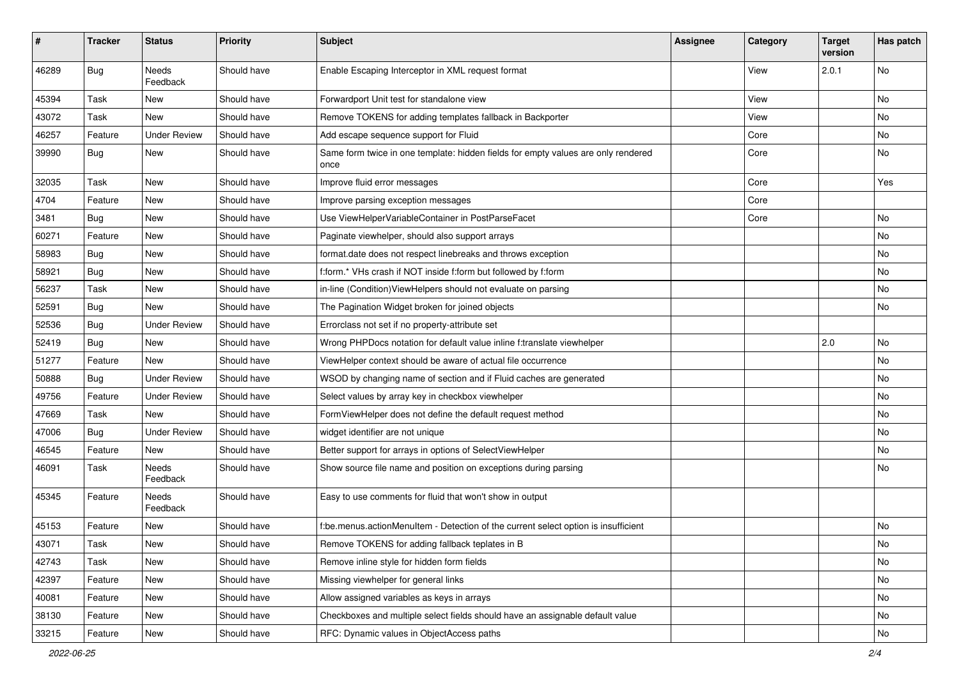| #     | <b>Tracker</b> | <b>Status</b>            | <b>Priority</b> | <b>Subject</b>                                                                            | <b>Assignee</b> | Category | <b>Target</b><br>version | Has patch |
|-------|----------------|--------------------------|-----------------|-------------------------------------------------------------------------------------------|-----------------|----------|--------------------------|-----------|
| 46289 | Bug            | <b>Needs</b><br>Feedback | Should have     | Enable Escaping Interceptor in XML request format                                         |                 | View     | 2.0.1                    | No        |
| 45394 | Task           | New                      | Should have     | Forwardport Unit test for standalone view                                                 |                 | View     |                          | No        |
| 43072 | Task           | <b>New</b>               | Should have     | Remove TOKENS for adding templates fallback in Backporter                                 |                 | View     |                          | No        |
| 46257 | Feature        | <b>Under Review</b>      | Should have     | Add escape sequence support for Fluid                                                     |                 | Core     |                          | No        |
| 39990 | Bug            | New                      | Should have     | Same form twice in one template: hidden fields for empty values are only rendered<br>once |                 | Core     |                          | No        |
| 32035 | Task           | New                      | Should have     | Improve fluid error messages                                                              |                 | Core     |                          | Yes       |
| 4704  | Feature        | New                      | Should have     | Improve parsing exception messages                                                        |                 | Core     |                          |           |
| 3481  | Bug            | New                      | Should have     | Use ViewHelperVariableContainer in PostParseFacet                                         |                 | Core     |                          | No        |
| 60271 | Feature        | New                      | Should have     | Paginate viewhelper, should also support arrays                                           |                 |          |                          | No        |
| 58983 | Bug            | New                      | Should have     | format.date does not respect linebreaks and throws exception                              |                 |          |                          | No        |
| 58921 | Bug            | New                      | Should have     | f:form.* VHs crash if NOT inside f:form but followed by f:form                            |                 |          |                          | No        |
| 56237 | Task           | New                      | Should have     | in-line (Condition) ViewHelpers should not evaluate on parsing                            |                 |          |                          | No        |
| 52591 | Bug            | New                      | Should have     | The Pagination Widget broken for joined objects                                           |                 |          |                          | No        |
| 52536 | Bug            | <b>Under Review</b>      | Should have     | Errorclass not set if no property-attribute set                                           |                 |          |                          |           |
| 52419 | Bug            | New                      | Should have     | Wrong PHPDocs notation for default value inline f:translate viewhelper                    |                 |          | 2.0                      | No        |
| 51277 | Feature        | New                      | Should have     | ViewHelper context should be aware of actual file occurrence                              |                 |          |                          | No        |
| 50888 | Bug            | <b>Under Review</b>      | Should have     | WSOD by changing name of section and if Fluid caches are generated                        |                 |          |                          | No        |
| 49756 | Feature        | <b>Under Review</b>      | Should have     | Select values by array key in checkbox viewhelper                                         |                 |          |                          | No        |
| 47669 | Task           | New                      | Should have     | FormViewHelper does not define the default request method                                 |                 |          |                          | No        |
| 47006 | Bug            | <b>Under Review</b>      | Should have     | widget identifier are not unique                                                          |                 |          |                          | No        |
| 46545 | Feature        | New                      | Should have     | Better support for arrays in options of SelectViewHelper                                  |                 |          |                          | No        |
| 46091 | Task           | Needs<br>Feedback        | Should have     | Show source file name and position on exceptions during parsing                           |                 |          |                          | No        |
| 45345 | Feature        | Needs<br>Feedback        | Should have     | Easy to use comments for fluid that won't show in output                                  |                 |          |                          |           |
| 45153 | Feature        | New                      | Should have     | f:be.menus.actionMenuItem - Detection of the current select option is insufficient        |                 |          |                          | No        |
| 43071 | Task           | New                      | Should have     | Remove TOKENS for adding fallback teplates in B                                           |                 |          |                          | N0        |
| 42743 | Task           | New                      | Should have     | Remove inline style for hidden form fields                                                |                 |          |                          | No        |
| 42397 | Feature        | New                      | Should have     | Missing viewhelper for general links                                                      |                 |          |                          | No        |
| 40081 | Feature        | New                      | Should have     | Allow assigned variables as keys in arrays                                                |                 |          |                          | No        |
| 38130 | Feature        | New                      | Should have     | Checkboxes and multiple select fields should have an assignable default value             |                 |          |                          | No        |
| 33215 | Feature        | New                      | Should have     | RFC: Dynamic values in ObjectAccess paths                                                 |                 |          |                          | No        |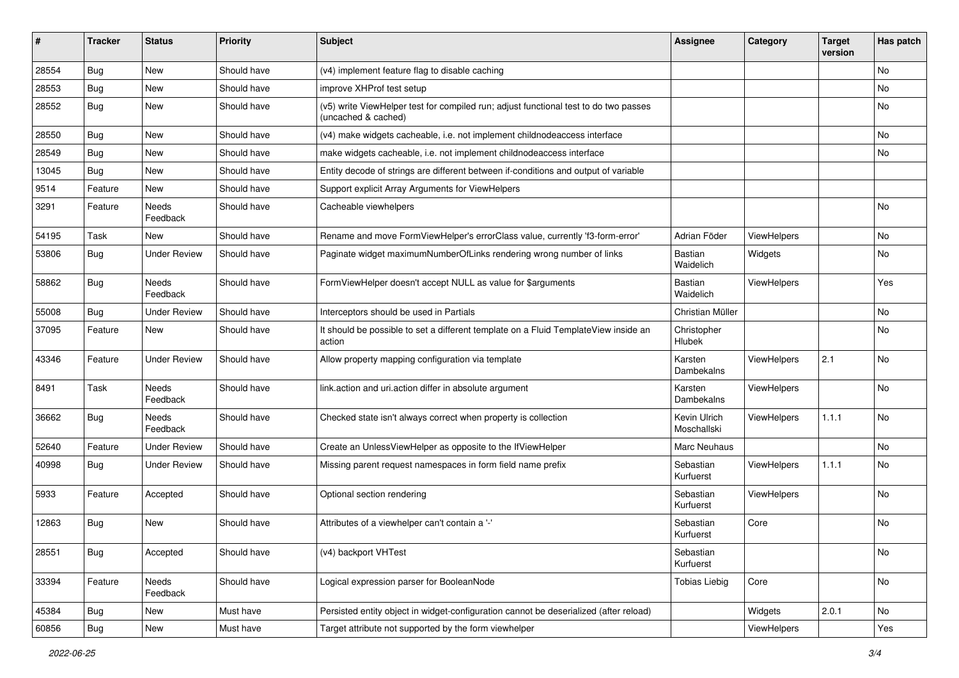| ∦     | <b>Tracker</b> | <b>Status</b>            | <b>Priority</b> | <b>Subject</b>                                                                                              | <b>Assignee</b>             | Category    | <b>Target</b><br>version | Has patch |
|-------|----------------|--------------------------|-----------------|-------------------------------------------------------------------------------------------------------------|-----------------------------|-------------|--------------------------|-----------|
| 28554 | Bug            | New                      | Should have     | (v4) implement feature flag to disable caching                                                              |                             |             |                          | No        |
| 28553 | Bug            | New                      | Should have     | improve XHProf test setup                                                                                   |                             |             |                          | No        |
| 28552 | Bug            | New                      | Should have     | (v5) write ViewHelper test for compiled run; adjust functional test to do two passes<br>(uncached & cached) |                             |             |                          | No        |
| 28550 | Bug            | New                      | Should have     | (v4) make widgets cacheable, i.e. not implement childnodeaccess interface                                   |                             |             |                          | No        |
| 28549 | Bug            | New                      | Should have     | make widgets cacheable, i.e. not implement childnodeaccess interface                                        |                             |             |                          | No        |
| 13045 | Bug            | New                      | Should have     | Entity decode of strings are different between if-conditions and output of variable                         |                             |             |                          |           |
| 9514  | Feature        | New                      | Should have     | Support explicit Array Arguments for ViewHelpers                                                            |                             |             |                          |           |
| 3291  | Feature        | <b>Needs</b><br>Feedback | Should have     | Cacheable viewhelpers                                                                                       |                             |             |                          | No        |
| 54195 | Task           | New                      | Should have     | Rename and move FormViewHelper's errorClass value, currently 'f3-form-error'                                | Adrian Föder                | ViewHelpers |                          | No        |
| 53806 | Bug            | <b>Under Review</b>      | Should have     | Paginate widget maximumNumberOfLinks rendering wrong number of links                                        | Bastian<br>Waidelich        | Widgets     |                          | No        |
| 58862 | Bug            | <b>Needs</b><br>Feedback | Should have     | FormViewHelper doesn't accept NULL as value for \$arguments                                                 | Bastian<br>Waidelich        | ViewHelpers |                          | Yes       |
| 55008 | Bug            | <b>Under Review</b>      | Should have     | Interceptors should be used in Partials                                                                     | Christian Müller            |             |                          | No.       |
| 37095 | Feature        | New                      | Should have     | It should be possible to set a different template on a Fluid TemplateView inside an<br>action               | Christopher<br>Hlubek       |             |                          | No        |
| 43346 | Feature        | <b>Under Review</b>      | Should have     | Allow property mapping configuration via template                                                           | Karsten<br>Dambekalns       | ViewHelpers | 2.1                      | No        |
| 8491  | Task           | <b>Needs</b><br>Feedback | Should have     | link.action and uri.action differ in absolute argument                                                      | Karsten<br>Dambekalns       | ViewHelpers |                          | No        |
| 36662 | Bug            | Needs<br>Feedback        | Should have     | Checked state isn't always correct when property is collection                                              | Kevin Ulrich<br>Moschallski | ViewHelpers | 1.1.1                    | <b>No</b> |
| 52640 | Feature        | <b>Under Review</b>      | Should have     | Create an UnlessViewHelper as opposite to the IfViewHelper                                                  | Marc Neuhaus                |             |                          | No        |
| 40998 | Bug            | <b>Under Review</b>      | Should have     | Missing parent request namespaces in form field name prefix                                                 | Sebastian<br>Kurfuerst      | ViewHelpers | 1.1.1                    | No        |
| 5933  | Feature        | Accepted                 | Should have     | Optional section rendering                                                                                  | Sebastian<br>Kurfuerst      | ViewHelpers |                          | No        |
| 12863 | Bug            | New                      | Should have     | Attributes of a viewhelper can't contain a '-'                                                              | Sebastian<br>Kurfuerst      | Core        |                          | No        |
| 28551 | Bug            | Accepted                 | Should have     | (v4) backport VHTest                                                                                        | Sebastian<br>Kurfuerst      |             |                          | No        |
| 33394 | Feature        | Needs<br>Feedback        | Should have     | Logical expression parser for BooleanNode                                                                   | <b>Tobias Liebig</b>        | Core        |                          | No        |
| 45384 | Bug            | New                      | Must have       | Persisted entity object in widget-configuration cannot be deserialized (after reload)                       |                             | Widgets     | 2.0.1                    | No        |
| 60856 | Bug            | New                      | Must have       | Target attribute not supported by the form viewhelper                                                       |                             | ViewHelpers |                          | Yes       |